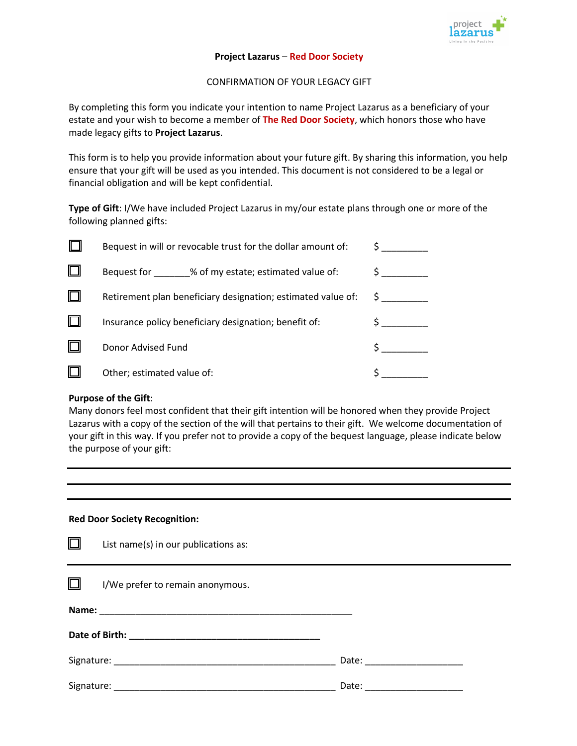

## **Project Lazarus** – **Red Door Society**

CONFIRMATION OF YOUR LEGACY GIFT

By completing this form you indicate your intention to name Project Lazarus as a beneficiary of your estate and your wish to become a member of **The Red Door Society**, which honors those who have made legacy gifts to **Project Lazarus**.

This form is to help you provide information about your future gift. By sharing this information, you help ensure that your gift will be used as you intended. This document is not considered to be a legal or financial obligation and will be kept confidential.

**Type of Gift**: I/We have included Project Lazarus in my/our estate plans through one or more of the following planned gifts:

|   | Bequest in will or revocable trust for the dollar amount of: |  |
|---|--------------------------------------------------------------|--|
|   | % of my estate; estimated value of:<br>Bequest for           |  |
| Ш | Retirement plan beneficiary designation; estimated value of: |  |
| L | Insurance policy beneficiary designation; benefit of:        |  |
|   | Donor Advised Fund                                           |  |
|   | Other; estimated value of:                                   |  |

## **Purpose of the Gift**:

Many donors feel most confident that their gift intention will be honored when they provide Project Lazarus with a copy of the section of the will that pertains to their gift. We welcome documentation of your gift in this way. If you prefer not to provide a copy of the bequest language, please indicate below the purpose of your gift:

## **Red Door Society Recognition:**

 $\equiv$ 

| ப      | List name(s) in our publications as: |                               |  |
|--------|--------------------------------------|-------------------------------|--|
| $\Box$ | I/We prefer to remain anonymous.     |                               |  |
|        |                                      |                               |  |
|        |                                      |                               |  |
|        |                                      | Date: _______________________ |  |
|        |                                      | Date: _____________________   |  |